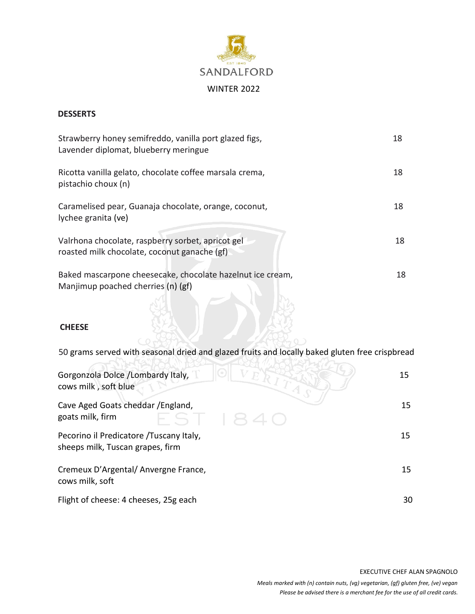

## **DESSERTS**

| Strawberry honey semifreddo, vanilla port glazed figs,<br>Lavender diplomat, blueberry meringue   | 18 |
|---------------------------------------------------------------------------------------------------|----|
| Ricotta vanilla gelato, chocolate coffee marsala crema,<br>pistachio choux (n)                    | 18 |
| Caramelised pear, Guanaja chocolate, orange, coconut,<br>lychee granita (ve)                      | 18 |
| Valrhona chocolate, raspberry sorbet, apricot gel<br>roasted milk chocolate, coconut ganache (gf) | 18 |
| Baked mascarpone cheesecake, chocolate hazelnut ice cream,<br>Manjimup poached cherries (n) (gf)  | 18 |
| <b>CHFFSF</b>                                                                                     |    |

50 grams served with seasonal dried and glazed fruits and locally baked gluten free crispbread

| Gorgonzola Dolce /Lombardy Italy,<br>cows milk, soft blue                    | 15 |
|------------------------------------------------------------------------------|----|
| Cave Aged Goats cheddar / England,<br>goats milk, firm<br>S11                | 15 |
| Pecorino il Predicatore / Tuscany Italy,<br>sheeps milk, Tuscan grapes, firm | 15 |
| Cremeux D'Argental/Anvergne France,<br>cows milk, soft                       | 15 |
| Flight of cheese: 4 cheeses, 25g each                                        | 30 |